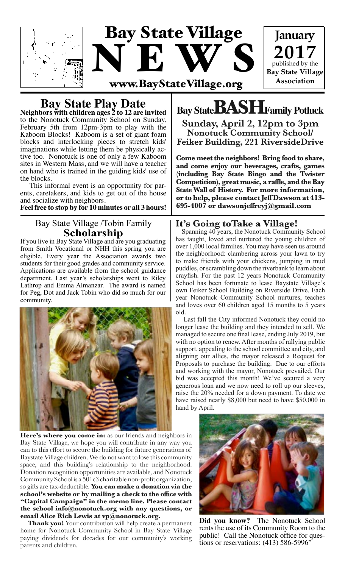

**Bay State Play Date Neighbors with children ages 2 to 12 are invited**

to the Nonotuck Community School on Sunday, February 5th from 12pm-3pm to play with the Kaboom Blocks! Kaboom is a set of giant foam blocks and interlocking pieces to stretch kids' imaginations while letting them be physically ac- tive too. Nonotuck is one of only a few Kaboom sites in Western Mass, and we will have a teacher on hand who is trained in the guiding kids' use of the blocks.

 This informal event is an opportunity for par- ents, caretakers, and kids to get out of the house and socialize with neighbors.

**Feel free to stop by for 10 minutes or all 3 hours!** 

# Bay State Village /Tobin Family **Scholarship**

If you live in Bay State Village and are you graduating from Smith Vocational or NHH this spring you are eligible. Every year the Association awards two students for their good grades and community service. Applications are available from the school guidance department. Last year's scholarships went to Riley Lathrop and Emma Almanzar. The award is named for Peg, Dot and Jack Tobin who did so much for our community.



**Here's where you come in:** as our friends and neighbors in Bay State Village, we hope you will contribute in any way you can to this effort to secure the building for future generations of Baystate Village children. We do not want to lose this community space, and this building's relationship to the neighborhood. Donation recognition opportunities are available, and Nonotuck Community School is a 501c3 charitable non-profit organization, so gifts are tax-deductible. **You can make a donation via the school's website or by mailing a check to the office with "Capital Campaign" in the memo line. Please contact the school info@nonotuck.org with any questions, or email Alice Rich Lewis at vp@nonotuck.org.** 

 **Thank you!** Your contribution will help create a permanent home for Nonotuck Community School in Bay State Village paying dividends for decades for our community's working parents and children.

# **Bay StateBASHFamily Potluck**

**Sunday, April 2, 12pm to 3pm Nonotuck Community School/ Feiker Building, 221 RiversideDrive**

**Come meet the neighbors! Bring food to share, and come enjoy our beverages, crafts, games (including Bay State Bingo and the Twister Competition), great music, a raffle, and the Bay State Wall of History. For more information, or to help, please contact Jeff Dawson at 413- 695-4007 or dawsonjeffreyj@gmail.com**

## **It's Going toTake a Village!**

 Spanning 40 years, the Nonotuck Community School has taught, loved and nurtured the young children of over 1,000 local families. You may have seen us around the neighborhood: clambering across your lawn to try to make friends with your chickens, jumping in mud puddles, or scrambling down the riverbank to learn about crayfish. For the past 12 years Nonotuck Community School has been fortunate to lease Baystate Village's own Feiker School Building on Riverside Drive. Each year Nonotuck Community School nurtures, teaches and loves over 60 children aged 15 months to 5 years old.

 Last fall the City informed Nonotuck they could no longer lease the building and they intended to sell. We managed to secure one final lease, ending July 2019, but with no option to renew. After months of rallying public support, appealing to the school committee and city, and aligning our allies, the mayor released a Request for Proposals to purchase the building. Due to our efforts and working with the mayor, Nonotuck prevailed. Our bid was accepted this month! We've secured a very generous loan and we now need to roll up our sleeves, raise the 20% needed for a down payment. To date we have raised nearly \$8,000 but need to have \$50,000 in hand by April.



**Did you know?** The Nonotuck School rents the use of its Community Room to the public! Call the Nonotuck office for questions or reservations: (413) 586-5996"